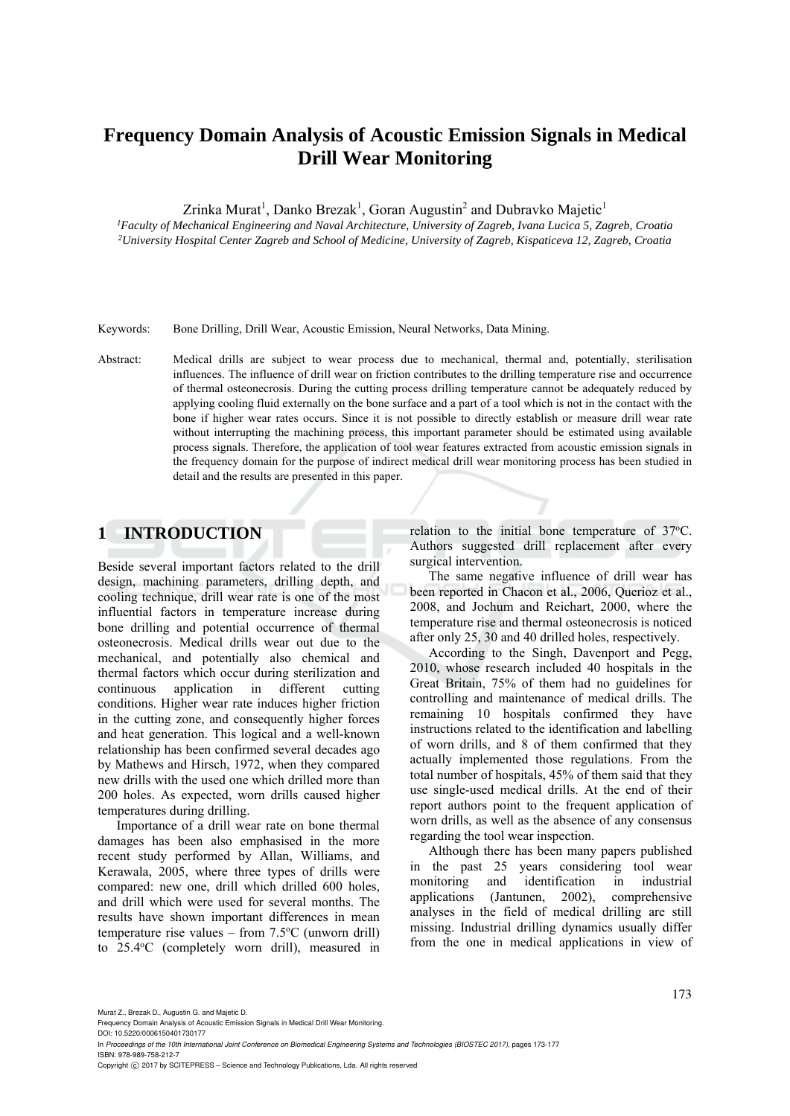# **Frequency Domain Analysis of Acoustic Emission Signals in Medical Drill Wear Monitoring**

Zrinka Murat<sup>1</sup>, Danko Brezak<sup>1</sup>, Goran Augustin<sup>2</sup> and Dubravko Majetic<sup>1</sup>

<sup>1</sup>Faculty of Mechanical Engineering and Naval Architecture, University of Zagreb, Ivana Lucica 5, Zagreb, Croatia<br><sup>2</sup>University Hospital Center Zagreb and School of Medicine, University of Zagreb, Kispaticeva 12, Zagreb,

Keywords: Bone Drilling, Drill Wear, Acoustic Emission, Neural Networks, Data Mining.

Abstract: Medical drills are subject to wear process due to mechanical, thermal and, potentially, sterilisation influences. The influence of drill wear on friction contributes to the drilling temperature rise and occurrence of thermal osteonecrosis. During the cutting process drilling temperature cannot be adequately reduced by applying cooling fluid externally on the bone surface and a part of a tool which is not in the contact with the bone if higher wear rates occurs. Since it is not possible to directly establish or measure drill wear rate without interrupting the machining process, this important parameter should be estimated using available process signals. Therefore, the application of tool wear features extracted from acoustic emission signals in the frequency domain for the purpose of indirect medical drill wear monitoring process has been studied in detail and the results are presented in this paper.

# **1 INTRODUCTION**

Beside several important factors related to the drill design, machining parameters, drilling depth, and cooling technique, drill wear rate is one of the most influential factors in temperature increase during bone drilling and potential occurrence of thermal osteonecrosis. Medical drills wear out due to the mechanical, and potentially also chemical and thermal factors which occur during sterilization and continuous application in different cutting conditions. Higher wear rate induces higher friction in the cutting zone, and consequently higher forces and heat generation. This logical and a well-known relationship has been confirmed several decades ago by Mathews and Hirsch, 1972, when they compared new drills with the used one which drilled more than 200 holes. As expected, worn drills caused higher temperatures during drilling.

Importance of a drill wear rate on bone thermal damages has been also emphasised in the more recent study performed by Allan, Williams, and Kerawala, 2005, where three types of drills were compared: new one, drill which drilled 600 holes, and drill which were used for several months. The results have shown important differences in mean temperature rise values  $-$  from  $7.5^{\circ}$ C (unworn drill) to 25.4°C (completely worn drill), measured in

relation to the initial bone temperature of 37°C. Authors suggested drill replacement after every surgical intervention.

The same negative influence of drill wear has been reported in Chacon et al., 2006, Querioz et al., 2008, and Jochum and Reichart, 2000, where the temperature rise and thermal osteonecrosis is noticed after only 25, 30 and 40 drilled holes, respectively.

According to the Singh, Davenport and Pegg, 2010, whose research included 40 hospitals in the Great Britain, 75% of them had no guidelines for controlling and maintenance of medical drills. The remaining 10 hospitals confirmed they have instructions related to the identification and labelling of worn drills, and 8 of them confirmed that they actually implemented those regulations. From the total number of hospitals, 45% of them said that they use single-used medical drills. At the end of their report authors point to the frequent application of worn drills, as well as the absence of any consensus regarding the tool wear inspection.

Although there has been many papers published in the past 25 years considering tool wear monitoring and identification in industrial applications (Jantunen, 2002), comprehensive analyses in the field of medical drilling are still missing. Industrial drilling dynamics usually differ from the one in medical applications in view of

Murat Z., Brezak D., Augustin G. and Majetic D.

DOI: 10.5220/0006150401730177

In *Proceedings of the 10th International Joint Conference on Biomedical Engineering Systems and Technologies (BIOSTEC 2017)*, pages 173-177 ISBN: 978-989-758-212-7

Copyright © 2017 by SCITEPRESS - Science and Technology Publications, Lda. All rights reserved

Frequency Domain Analysis of Acoustic Emission Signals in Medical Drill Wear Monitoring.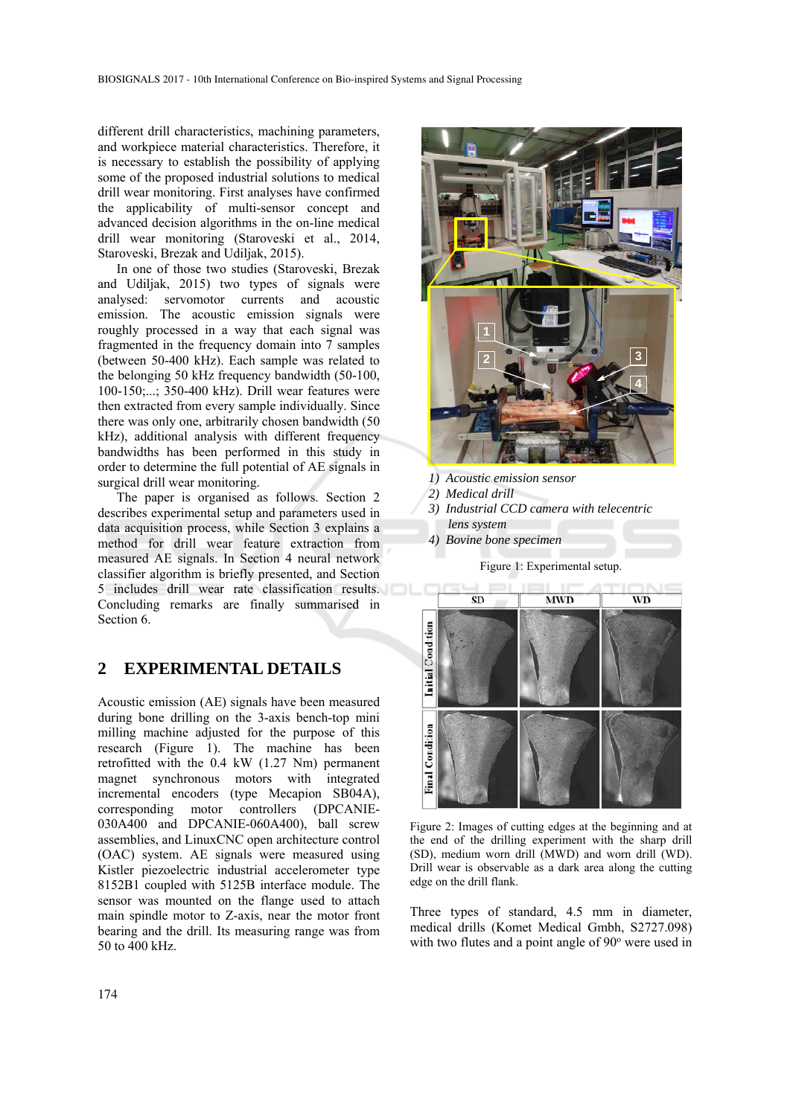different drill characteristics, machining parameters, and workpiece material characteristics. Therefore, it is necessary to establish the possibility of applying some of the proposed industrial solutions to medical drill wear monitoring. First analyses have confirmed the applicability of multi-sensor concept and advanced decision algorithms in the on-line medical drill wear monitoring (Staroveski et al., 2014, Staroveski, Brezak and Udiljak, 2015).

In one of those two studies (Staroveski, Brezak and Udiljak, 2015) two types of signals were analysed: servomotor currents and acoustic emission. The acoustic emission signals were roughly processed in a way that each signal was fragmented in the frequency domain into 7 samples (between 50-400 kHz). Each sample was related to the belonging 50 kHz frequency bandwidth (50-100, 100-150;...; 350-400 kHz). Drill wear features were then extracted from every sample individually. Since there was only one, arbitrarily chosen bandwidth (50 kHz), additional analysis with different frequency bandwidths has been performed in this study in order to determine the full potential of AE signals in surgical drill wear monitoring.

The paper is organised as follows. Section 2 describes experimental setup and parameters used in data acquisition process, while Section 3 explains a method for drill wear feature extraction from measured AE signals. In Section 4 neural network classifier algorithm is briefly presented, and Section 5 includes drill wear rate classification results. Concluding remarks are finally summarised in Section 6.

## **2 EXPERIMENTAL DETAILS**

Acoustic emission (AE) signals have been measured during bone drilling on the 3-axis bench-top mini milling machine adjusted for the purpose of this research (Figure 1). The machine has been retrofitted with the 0.4 kW (1.27 Nm) permanent magnet synchronous motors with integrated incremental encoders (type Mecapion SB04A), corresponding motor controllers (DPCANIE-030A400 and DPCANIE-060A400), ball screw assemblies, and LinuxCNC open architecture control (OAC) system. AE signals were measured using Kistler piezoelectric industrial accelerometer type 8152B1 coupled with 5125B interface module. The sensor was mounted on the flange used to attach main spindle motor to Z-axis, near the motor front bearing and the drill. Its measuring range was from 50 to 400 kHz.



- *1) Acoustic emission sensor*
- *2) Medical drill*
- *3) Industrial CCD camera with telecentric lens system*
- *4) Bovine bone specimen*

Figure 1: Experimental setup.



Figure 2: Images of cutting edges at the beginning and at the end of the drilling experiment with the sharp drill (SD), medium worn drill (MWD) and worn drill (WD). Drill wear is observable as a dark area along the cutting edge on the drill flank.

Three types of standard, 4.5 mm in diameter, medical drills (Komet Medical Gmbh, S2727.098) with two flutes and a point angle of  $90^\circ$  were used in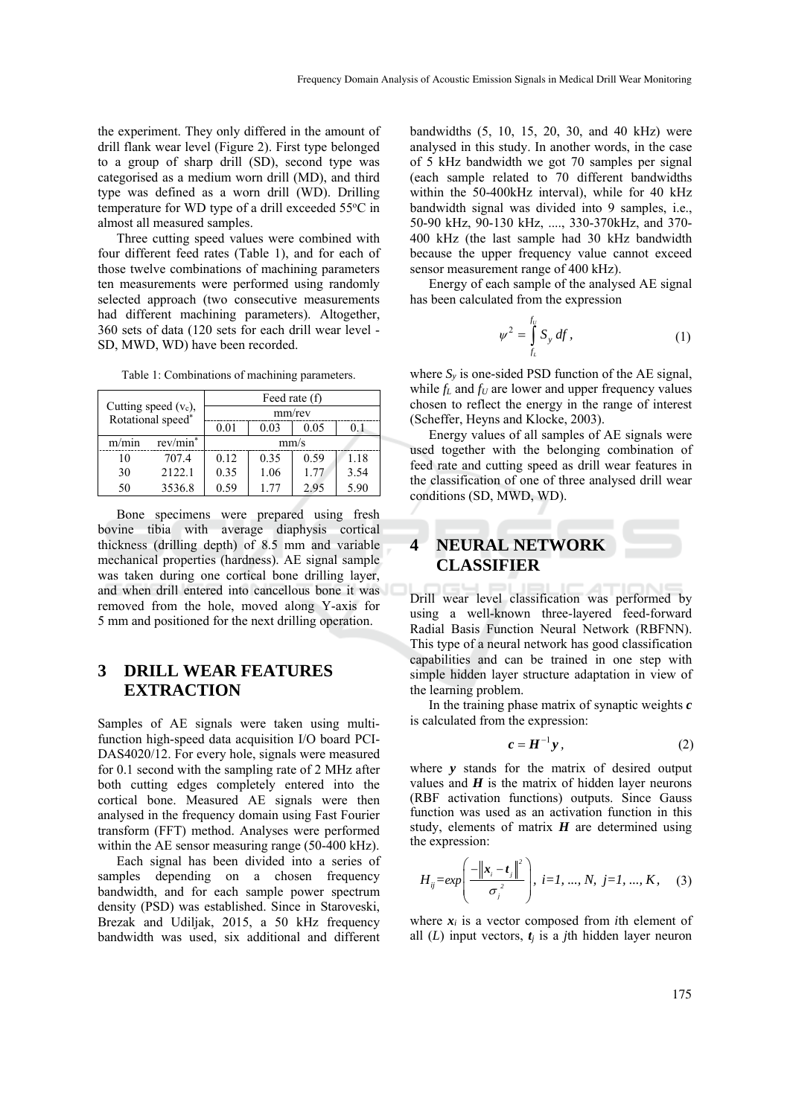the experiment. They only differed in the amount of drill flank wear level (Figure 2). First type belonged to a group of sharp drill (SD), second type was categorised as a medium worn drill (MD), and third type was defined as a worn drill (WD). Drilling temperature for WD type of a drill exceeded 55°C in almost all measured samples.

Three cutting speed values were combined with four different feed rates (Table 1), and for each of those twelve combinations of machining parameters ten measurements were performed using randomly selected approach (two consecutive measurements had different machining parameters). Altogether, 360 sets of data (120 sets for each drill wear level - SD, MWD, WD) have been recorded.

| Cutting speed $(v_c)$ ,<br>Rotational speed* |          | Feed rate (f) |      |      |      |  |  |  |
|----------------------------------------------|----------|---------------|------|------|------|--|--|--|
|                                              |          | mm/rev        |      |      |      |  |  |  |
|                                              |          | 0.01          | 0.03 | 0.05 | 0.1  |  |  |  |
| m/min                                        | rev/min* | mm/s          |      |      |      |  |  |  |
| 10                                           | 7074     | 0.12          | 0.35 | 0.59 | 1.18 |  |  |  |
| 30                                           | 2122.1   | 0.35          | 1.06 | 177  | 3.54 |  |  |  |
| 50                                           | 3536.8   | 0.59          | 177  | 2.95 | 5.90 |  |  |  |

Table 1: Combinations of machining parameters.

Bone specimens were prepared using fresh bovine tibia with average diaphysis cortical thickness (drilling depth) of 8.5 mm and variable mechanical properties (hardness). AE signal sample was taken during one cortical bone drilling layer, and when drill entered into cancellous bone it was removed from the hole, moved along Y-axis for 5 mm and positioned for the next drilling operation.

# **3 DRILL WEAR FEATURES EXTRACTION**

Samples of AE signals were taken using multifunction high-speed data acquisition I/O board PCI-DAS4020/12. For every hole, signals were measured for 0.1 second with the sampling rate of 2 MHz after both cutting edges completely entered into the cortical bone. Measured AE signals were then analysed in the frequency domain using Fast Fourier transform (FFT) method. Analyses were performed within the AE sensor measuring range (50-400 kHz).

Each signal has been divided into a series of samples depending on a chosen frequency bandwidth, and for each sample power spectrum density (PSD) was established. Since in Staroveski, Brezak and Udiljak, 2015, a 50 kHz frequency bandwidth was used, six additional and different

bandwidths (5, 10, 15, 20, 30, and 40 kHz) were analysed in this study. In another words, in the case of 5 kHz bandwidth we got 70 samples per signal (each sample related to 70 different bandwidths within the 50-400kHz interval), while for 40 kHz bandwidth signal was divided into 9 samples, i.e., 50-90 kHz, 90-130 kHz, ...., 330-370kHz, and 370- 400 kHz (the last sample had 30 kHz bandwidth because the upper frequency value cannot exceed sensor measurement range of 400 kHz).

Energy of each sample of the analysed AE signal has been calculated from the expression

$$
\psi^2 = \int_{f_L}^{f_U} S_y \, df,\tag{1}
$$

where  $S_y$  is one-sided PSD function of the AE signal, while  $f_L$  and  $f_U$  are lower and upper frequency values chosen to reflect the energy in the range of interest (Scheffer, Heyns and Klocke, 2003).

Energy values of all samples of AE signals were used together with the belonging combination of feed rate and cutting speed as drill wear features in the classification of one of three analysed drill wear conditions (SD, MWD, WD).

# **4 NEURAL NETWORK CLASSIFIER**

Drill wear level classification was performed by using a well-known three-layered feed-forward Radial Basis Function Neural Network (RBFNN). This type of a neural network has good classification capabilities and can be trained in one step with simple hidden layer structure adaptation in view of the learning problem.

In the training phase matrix of synaptic weights *c* is calculated from the expression:

$$
c = H^{-1} y, \qquad (2)
$$

where *y* stands for the matrix of desired output values and  $H$  is the matrix of hidden layer neurons (RBF activation functions) outputs. Since Gauss function was used as an activation function in this study, elements of matrix  $H$  are determined using the expression:

$$
H_{ij} = exp\left(\frac{-\left\|\mathbf{x}_{i} - \mathbf{t}_{j}\right\|^{2}}{\sigma_{j}^{2}}\right), i = 1, ..., N, j = 1, ..., K,
$$
 (3)

where  $x_i$  is a vector composed from *i*th element of all  $(L)$  input vectors,  $t_i$  is a *j*th hidden layer neuron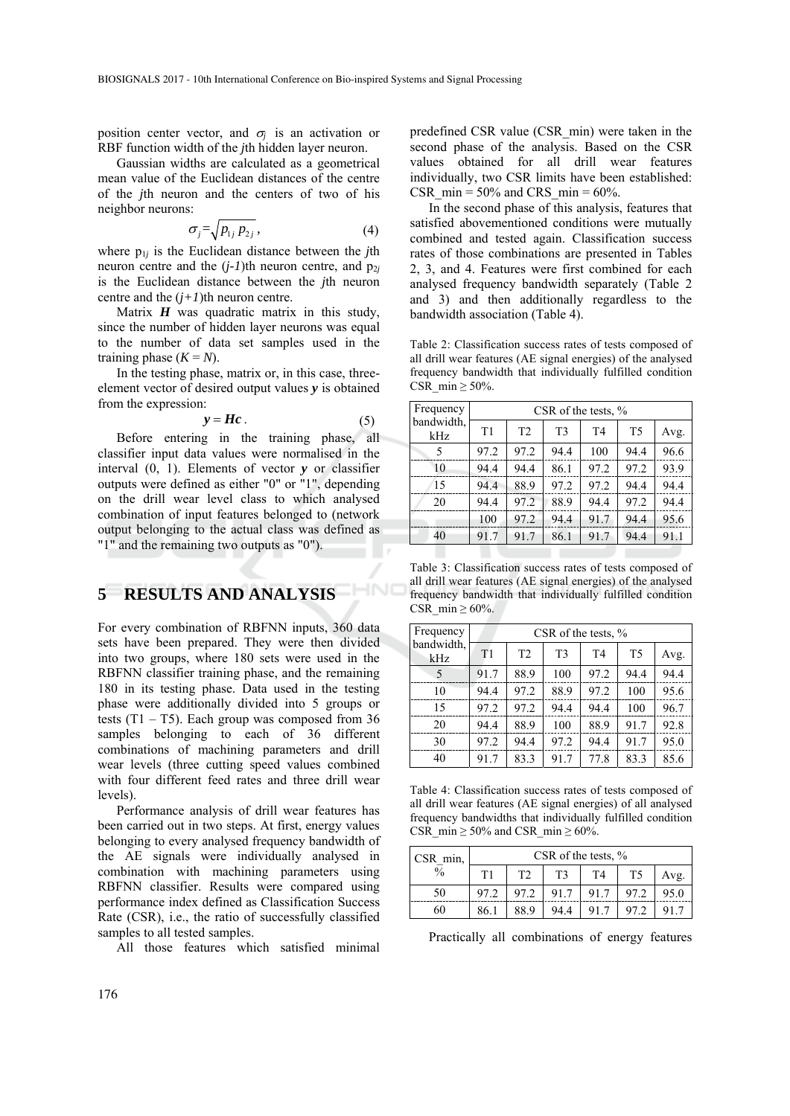position center vector, and  $\sigma_i$  is an activation or RBF function width of the *j*th hidden layer neuron.

Gaussian widths are calculated as a geometrical mean value of the Euclidean distances of the centre of the *j*th neuron and the centers of two of his neighbor neurons:

$$
\sigma_j = \sqrt{p_{1j} p_{2j}},\tag{4}
$$

where p1*j* is the Euclidean distance between the *j*th neuron centre and the  $(j-1)$ th neuron centre, and  $p_{2j}$ is the Euclidean distance between the *j*th neuron centre and the  $(j+1)$ <sup>th</sup> neuron centre.

Matrix  $H$  was quadratic matrix in this study, since the number of hidden layer neurons was equal to the number of data set samples used in the training phase  $(K = N)$ .

In the testing phase, matrix or, in this case, threeelement vector of desired output values *y* is obtained from the expression:

$$
y = Hc \tag{5}
$$

HNC

Before entering in the training phase, all classifier input data values were normalised in the interval (0, 1). Elements of vector *y* or classifier outputs were defined as either "0" or "1", depending on the drill wear level class to which analysed combination of input features belonged to (network output belonging to the actual class was defined as "1" and the remaining two outputs as "0").

# **5 RESULTS AND ANALYSIS**

For every combination of RBFNN inputs, 360 data sets have been prepared. They were then divided into two groups, where 180 sets were used in the RBFNN classifier training phase, and the remaining 180 in its testing phase. Data used in the testing phase were additionally divided into 5 groups or tests  $(T1 - T5)$ . Each group was composed from 36 samples belonging to each of 36 different combinations of machining parameters and drill wear levels (three cutting speed values combined with four different feed rates and three drill wear levels).

Performance analysis of drill wear features has been carried out in two steps. At first, energy values belonging to every analysed frequency bandwidth of the AE signals were individually analysed in combination with machining parameters using RBFNN classifier. Results were compared using performance index defined as Classification Success Rate (CSR), i.e., the ratio of successfully classified samples to all tested samples.

All those features which satisfied minimal

predefined CSR value (CSR\_min) were taken in the second phase of the analysis. Based on the CSR values obtained for all drill wear features individually, two CSR limits have been established: CSR min =  $50\%$  and CRS min =  $60\%$ .

In the second phase of this analysis, features that satisfied abovementioned conditions were mutually combined and tested again. Classification success rates of those combinations are presented in Tables 2, 3, and 4. Features were first combined for each analysed frequency bandwidth separately (Table 2 and 3) and then additionally regardless to the bandwidth association (Table 4).

Table 2: Classification success rates of tests composed of all drill wear features (AE signal energies) of the analysed frequency bandwidth that individually fulfilled condition CSR min  $> 50\%$ .

| Frequency         | CSR of the tests, $\%$ |      |                |                |                |      |  |
|-------------------|------------------------|------|----------------|----------------|----------------|------|--|
| bandwidth.<br>kHz | T1                     | T2   | T <sub>3</sub> | T <sub>4</sub> | T <sub>5</sub> | Avg. |  |
| 5                 | 97.2                   | 97.2 | 94.4           | 100            | 94.4           | 96.6 |  |
| 10                | 94.4                   | 94.4 | 86.1           | 97.2           | 97.2           | 93.9 |  |
| 15                | 94.4                   | 88.9 | 97.2           | 97.2           | 94.4           | 94.4 |  |
| 20                | 94.4                   | 97.2 | 88.9           | 94.4           | 97.2           | 94.4 |  |
|                   | 100                    | 97.2 | 94.4           | 91.7           | 94.4           | 95.6 |  |
| 40                | 91.7                   | 91.7 | 86.1           | 91.7           | 94.4           | 91.1 |  |

Table 3: Classification success rates of tests composed of all drill wear features (AE signal energies) of the analysed frequency bandwidth that individually fulfilled condition CSR min  $\geq 60\%$ .

| Frequency<br>bandwidth,<br>kHz | CSR of the tests, $\%$ |                |                |                |                |      |  |  |
|--------------------------------|------------------------|----------------|----------------|----------------|----------------|------|--|--|
|                                | T1                     | T <sub>2</sub> | T <sub>3</sub> | T <sub>4</sub> | T <sub>5</sub> | Avg. |  |  |
| 5                              | 91.7                   | 88.9           | 100            | 97.2           | 94.4           | 94.4 |  |  |
| 10                             | 94.4                   | 97.2           | 88.9           | 97.2           | 100            | 95.6 |  |  |
| 15                             | 97.2                   | 97.2           | 94.4           | 94.4           | 100            | 96.7 |  |  |
| 20                             | 94.4                   | 88.9           | 100            | 88.9           | 91.7           | 92.8 |  |  |
| 30                             | 97.2                   | 94.4           | 97.2           | 94.4           | 91.7           | 95.0 |  |  |
| 40                             | 91.7                   | 83.3           | 91.7           | 77.8           | 83.3           | 85.6 |  |  |

Table 4: Classification success rates of tests composed of all drill wear features (AE signal energies) of all analysed frequency bandwidths that individually fulfilled condition CSR min  $\geq$  50% and CSR min  $\geq$  60%.

| $CSR$ min,    | CSR of the tests, $\%$ |                |                |                |                |      |  |
|---------------|------------------------|----------------|----------------|----------------|----------------|------|--|
| $\frac{0}{0}$ | T1                     | T <sub>2</sub> | T <sup>3</sup> | T <sub>4</sub> | T <sub>5</sub> | Avg. |  |
| 50            | 97.2                   | 97.2           | 91.7           | 91.7           |                | 95.0 |  |
| 60            | 86.                    | 88.9           | 94.4           |                |                |      |  |

Practically all combinations of energy features